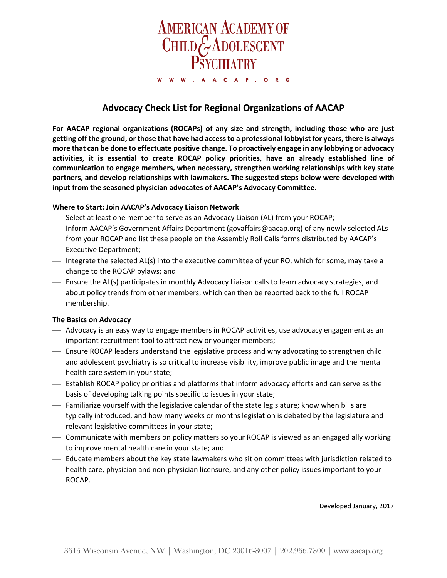

# **Advocacy Check List for Regional Organizations of AACAP**

**For AACAP regional organizations (ROCAPs) of any size and strength, including those who are just getting off the ground, or those that have had access to a professional lobbyist for years, there is always more that can be done to effectuate positive change. To proactively engage in any lobbying or advocacy activities, it is essential to create ROCAP policy priorities, have an already established line of communication to engage members, when necessary, strengthen working relationships with key state partners, and develop relationships with lawmakers. The suggested steps below were developed with input from the seasoned physician advocates of AACAP's Advocacy Committee.** 

## **Where to Start: Join AACAP's Advocacy Liaison Network**

- $-$  Select at least one member to serve as an Advocacy Liaison (AL) from your ROCAP;
- Inform AACAP's Government Affairs Department (govaffairs@aacap.org) of any newly selected ALs from your ROCAP and list these people on the Assembly Roll Calls forms distributed by AACAP's Executive Department;
- Integrate the selected AL(s) into the executive committee of your RO, which for some, may take a change to the ROCAP bylaws; and
- Ensure the AL(s) participates in monthly Advocacy Liaison calls to learn advocacy strategies, and about policy trends from other members, which can then be reported back to the full ROCAP membership.

#### **The Basics on Advocacy**

- Advocacy is an easy way to engage members in ROCAP activities, use advocacy engagement as an important recruitment tool to attract new or younger members;
- Ensure ROCAP leaders understand the legislative process and why advocating to strengthen child and adolescent psychiatry is so critical to increase visibility, improve public image and the mental health care system in your state;
- Establish ROCAP policy priorities and platforms that inform advocacy efforts and can serve as the basis of developing talking points specific to issues in your state;
- Familiarize yourself with the legislative calendar of the state legislature; know when bills are typically introduced, and how many weeks or months legislation is debated by the legislature and relevant legislative committees in your state;
- Communicate with members on policy matters so your ROCAP is viewed as an engaged ally working to improve mental health care in your state; and
- Educate members about the key state lawmakers who sit on committees with jurisdiction related to health care, physician and non-physician licensure, and any other policy issues important to your ROCAP.

Developed January, 2017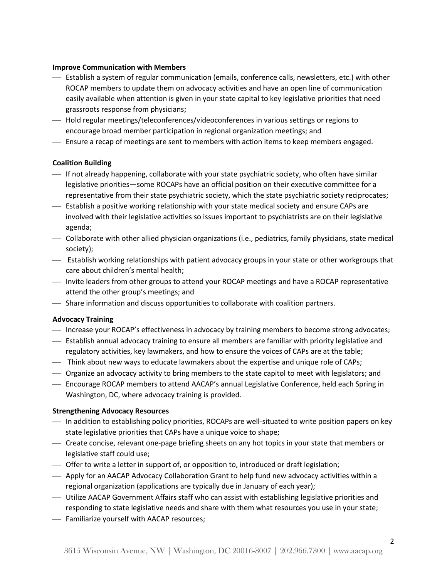#### **Improve Communication with Members**

- Establish a system of regular communication (emails, conference calls, newsletters, etc.) with other ROCAP members to update them on advocacy activities and have an open line of communication easily available when attention is given in your state capital to key legislative priorities that need grassroots response from physicians;
- Hold regular meetings/teleconferences/videoconferences in various settings or regions to encourage broad member participation in regional organization meetings; and
- Ensure a recap of meetings are sent to members with action items to keep members engaged.

## **Coalition Building**

- $\overline{\phantom{a}}$  If not already happening, collaborate with your state psychiatric society, who often have similar legislative priorities—some ROCAPs have an official position on their executive committee for a representative from their state psychiatric society, which the state psychiatric society reciprocates;
- Establish a positive working relationship with your state medical society and ensure CAPs are involved with their legislative activities so issues important to psychiatrists are on their legislative agenda;
- Collaborate with other allied physician organizations (i.e., pediatrics, family physicians, state medical society);
- Establish working relationships with patient advocacy groups in your state or other workgroups that care about children's mental health;
- Invite leaders from other groups to attend your ROCAP meetings and have a ROCAP representative attend the other group's meetings; and
- Share information and discuss opportunities to collaborate with coalition partners.

## **Advocacy Training**

- Increase your ROCAP's effectiveness in advocacy by training members to become strong advocates;
- Establish annual advocacy training to ensure all members are familiar with priority legislative and regulatory activities, key lawmakers, and how to ensure the voices of CAPs are at the table;
- Think about new ways to educate lawmakers about the expertise and unique role of CAPs;
- Organize an advocacy activity to bring members to the state capitol to meet with legislators; and
- $-$  Encourage ROCAP members to attend AACAP's annual Legislative Conference, held each Spring in Washington, DC, where advocacy training is provided.

## **Strengthening Advocacy Resources**

- In addition to establishing policy priorities, ROCAPs are well-situated to write position papers on key state legislative priorities that CAPs have a unique voice to shape;
- Create concise, relevant one-page briefing sheets on any hot topics in your state that members or legislative staff could use;
- Offer to write a letter in support of, or opposition to, introduced or draft legislation;
- Apply for an AACAP Advocacy Collaboration Grant to help fund new advocacy activities within a regional organization (applications are typically due in January of each year);
- Utilize AACAP Government Affairs staff who can assist with establishing legislative priorities and responding to state legislative needs and share with them what resources you use in your state;
- Familiarize yourself with AACAP resources;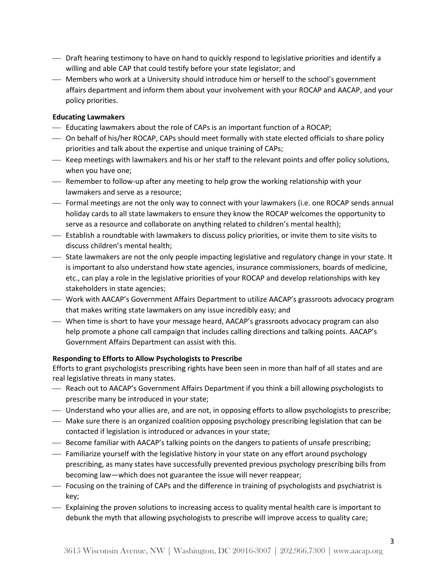- Draft hearing testimony to have on hand to quickly respond to legislative priorities and identify a willing and able CAP that could testify before your state legislator; and
- Members who work at a University should introduce him or herself to the school's government affairs department and inform them about your involvement with your ROCAP and AACAP, and your policy priorities.

## **Educating Lawmakers**

- Educating lawmakers about the role of CAPs is an important function of a ROCAP;
- On behalf of his/her ROCAP, CAPs should meet formally with state elected officials to share policy priorities and talk about the expertise and unique training of CAPs;
- Keep meetings with lawmakers and his or her staff to the relevant points and offer policy solutions, when you have one;
- Remember to follow-up after any meeting to help grow the working relationship with your lawmakers and serve as a resource;
- Formal meetings are not the only way to connect with your lawmakers (i.e. one ROCAP sends annual holiday cards to all state lawmakers to ensure they know the ROCAP welcomes the opportunity to serve as a resource and collaborate on anything related to children's mental health);
- Establish a roundtable with lawmakers to discuss policy priorities, or invite them to site visits to discuss children's mental health;
- State lawmakers are not the only people impacting legislative and regulatory change in your state. It is important to also understand how state agencies, insurance commissioners, boards of medicine, etc., can play a role in the legislative priorities of your ROCAP and develop relationships with key stakeholders in state agencies;
- Work with AACAP's Government Affairs Department to utilize AACAP's grassroots advocacy program that makes writing state lawmakers on any issue incredibly easy; and
- When time is short to have your message heard, AACAP's grassroots advocacy program can also help promote a phone call campaign that includes calling directions and talking points. AACAP's Government Affairs Department can assist with this.

## **Responding to Efforts to Allow Psychologists to Prescribe**

Efforts to grant psychologists prescribing rights have been seen in more than half of all states and are real legislative threats in many states.

- Reach out to AACAP's Government Affairs Department if you think a bill allowing psychologists to prescribe many be introduced in your state;
- Understand who your allies are, and are not, in opposing efforts to allow psychologists to prescribe;
- Make sure there is an organized coalition opposing psychology prescribing legislation that can be contacted if legislation is introduced or advances in your state;
- Become familiar with AACAP's talking points on the dangers to patients of unsafe prescribing;
- Familiarize yourself with the legislative history in your state on any effort around psychology prescribing, as many states have successfully prevented previous psychology prescribing bills from becoming law—which does not guarantee the issue will never reappear;
- Focusing on the training of CAPs and the difference in training of psychologists and psychiatrist is key;
- Explaining the proven solutions to increasing access to quality mental health care is important to debunk the myth that allowing psychologists to prescribe will improve access to quality care;